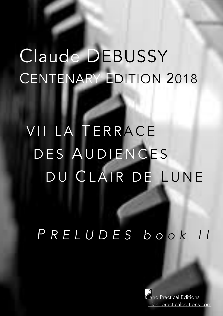## Claude DEBUSSY **CENTENARY EDITION 2018**

# VII LA TERRACE DES AUDIENCES DU CLAIR DE LUNE

## PRELUDES book II

iano Practical Editions pianopracticaleditions.com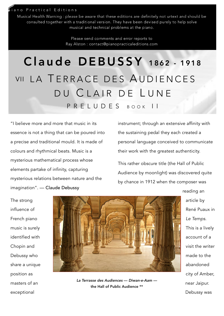ano Practical Editions

Musical Health Warning : please be aware that these editions are definitely not urtext and should be consulted together with a traditional version. They have been devised purely to help solve musical and technical problems at the piano.

> Please send comments and error reports to Ray Alston: contact@pianopracticaleditions.com

### Claude DEBUSSY 1862 - 1918 VII LA TERRACE DES AUDIENCES DU CLAIR DE LUNE PRELUDES BOOK II

"I believe more and more that music in its essence is not a thing that can be poured into a precise and traditional mould. It is made of colours and rhythmical beats. Music is a mysterious mathematical process whose elements partake of infinity, capturing mysterious relations between nature and the imagination". — Claude Debussy

instrument; through an extensive affinity with the sustaining pedal they each created a personal language conceived to communicate their work with the greatest authenticity.

This rather obscure title (the Hall of Public Audience by moonlight) was discovered quite by chance in 1912 when the composer was

The strong influence of French piano music is surely identified with Chopin and Debussy who share a unique position as masters of an exceptional



*La Terrasse des Audiences* — *Diwan-e-Aam*  the Hall of Public Audience \*\*

reading an article by René Puaux in *Le Temps*. This is a lively account of a visit the writer made to the abandoned city of Amber, near Jaipur. Debussy was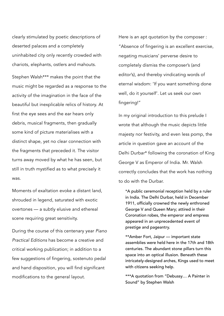clearly stimulated by poetic descriptions of deserted palaces and a completely uninhabited city only recently crowded with chariots, elephants, ostlers and mahouts.

Stephen Walsh\*\*\* makes the point that the music might be regarded as a response to the activity of the imagination in the face of the beautiful but inexplicable relics of history. At first the eye sees and the ear hears only debris, musical fragments, then gradually some kind of picture materialises with a distinct shape, yet no clear connection with the fragments that preceded it. The visitor turns away moved by what he has seen, but still in truth mystified as to what precisely it was.

Moments of exaltation evoke a distant land, shrouded in legend, saturated with exotic overtones — a subtly elusive and ethereal scene requiring great sensitivity.

During the course of this centenary year *Piano Practical Editions* has become a creative and critical working publication; in addition to a few suggestions of fingering, sostenuto pedal and hand disposition, you will find significant modifications to the general layout.

Here is an apt quotation by the composer : "Absence of fingering is an excellent exercise, negating musicians' perverse desire to completely dismiss the composer's (and editor's), and thereby vindicating words of eternal wisdom: 'If you want something done well, do it yourself'. Let us seek our own fingering!"

In my original introduction to this prelude I wrote that although the music depicts little majesty nor festivity, and even less pomp, the article in question gave an account of the Delhi Durbar\* following the coronation of King George V as Emperor of India. Mr. Walsh correctly concludes that the work has nothing to do with the Durbar.

\*A public ceremonial reception held by a ruler in India. The Delhi Durbar, held in December 1911, officially crowned the newly enthroned George V and Queen Mary; attired in their Coronation robes, the emperor and empress appeared in an unprecedented event of prestige and pageantry.

\*\*Amber Fort, Jaipur — important state assemblies were held here in the 17th and 18th centuries. The abundant stone pillars turn this space into an optical illusion. Beneath these intricately-designed arches, Kings used to meet with citizens seeking help.

\*\*\*A quotation from "Debussy… A Painter in Sound" by Stephen Walsh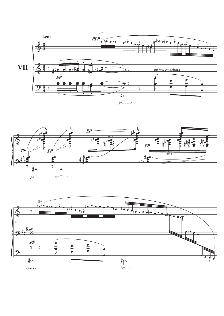



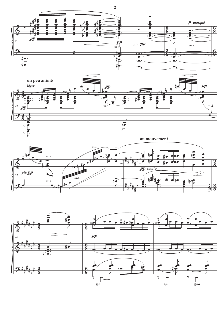







 $\overline{2}$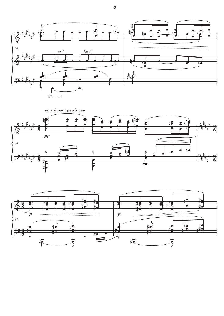



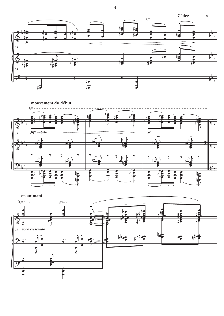

**mouvement du début**





**4**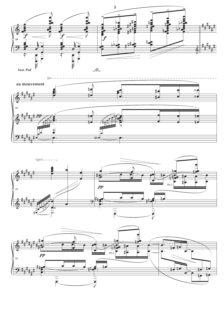





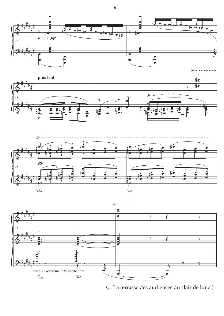







(... La terrasse des audiences du clair de lune )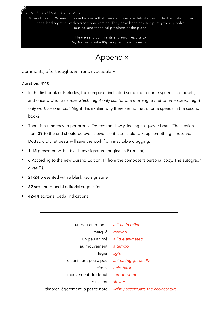#### iano Practical Editions

Musical Health Warning : please be aware that these editions are definitely not urtext and should be consulted together with a traditional version. They have been devised purely to help solve musical and technical problems at the piano.

> Please send comments and error reports to Ray Alston: contact@pianopracticaleditions.com

### Appendix

Comments, afterthoughts & French vocabulary

#### Duration: 4'40

- In the first book of Preludes, the composer indicated some metronome speeds in brackets, and once wrote: *"as a rose which might only last for one morning, a metronome speed might only work for one bar."* Might this explain why there are no metronome speeds in the second book?
- There is a tendency to perform *La Terrace* too slowly, feeling six quaver beats. The section from 39 to the end should be even slower, so it is sensible to keep something in reserve. Dotted crotchet beats will save the work from inevitable dragging.
- **1-12** presented with a blank key signature (original in  $F#$  major)
- 6 According to the new Durand Edition, Ft from the composer's personal copy. The autograph gives F # .
- 21-24 presented with a blank key signature
- 29 sostenuto pedal editorial suggestion
- 42-44 editorial pedal indications

| un peu en dehors a little in relief |                                     |
|-------------------------------------|-------------------------------------|
| marqué                              | marked                              |
| un peu animé                        | a little animated                   |
| au mouvement                        | a tempo                             |
| léger                               | light                               |
| en animant peu à peu                | animating gradually                 |
| cédez                               | held back                           |
| mouvement du début                  | tempo primo                         |
| plus lent                           | slower                              |
| timbrez légèrement la petite note   | lightly accentuate the acciaccatura |
|                                     |                                     |